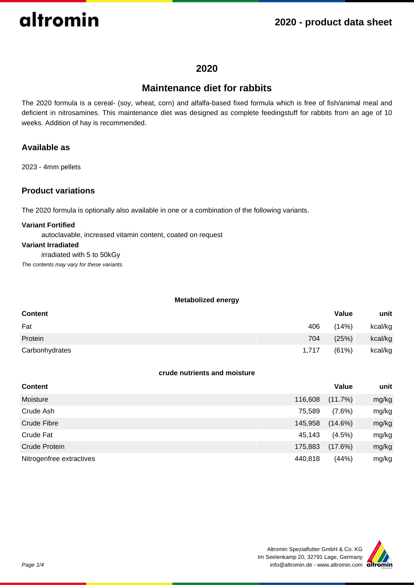## **2020 - product data sheet**

## **2020**

## **Maintenance diet for rabbits**

The 2020 formula is a cereal- (soy, wheat, corn) and alfalfa-based fixed formula which is free of fish/animal meal and deficient in nitrosamines. This maintenance diet was designed as complete feedingstuff for rabbits from an age of 10 weeks. Addition of hay is recommended.

## **Available as**

2023 - 4mm pellets

## **Product variations**

The 2020 formula is optionally also available in one or a combination of the following variants.

#### **Variant Fortified**

autoclavable, increased vitamin content, coated on request

#### **Variant Irradiated**

irradiated with 5 to 50kGy

The contents may vary for these variants.

### **Metabolized energy**

| <b>Content</b> |       | Value | unit    |
|----------------|-------|-------|---------|
| Fat            | 406   | (14%) | kcal/kg |
| Protein        | 704   | (25%) | kcal/kg |
| Carbonhydrates | 1.717 | (61%) | kcal/kg |

### **crude nutrients and moisture**

| <b>Content</b>           |         | Value      | unit  |
|--------------------------|---------|------------|-------|
| Moisture                 | 116,608 | $(11.7\%)$ | mg/kg |
| Crude Ash                | 75,589  | $(7.6\%)$  | mg/kg |
| Crude Fibre              | 145,958 | $(14.6\%)$ | mg/kg |
| Crude Fat                | 45,143  | $(4.5\%)$  | mg/kg |
| Crude Protein            | 175,883 | $(17.6\%)$ | mg/kg |
| Nitrogenfree extractives | 440,818 | (44%)      | mg/kg |

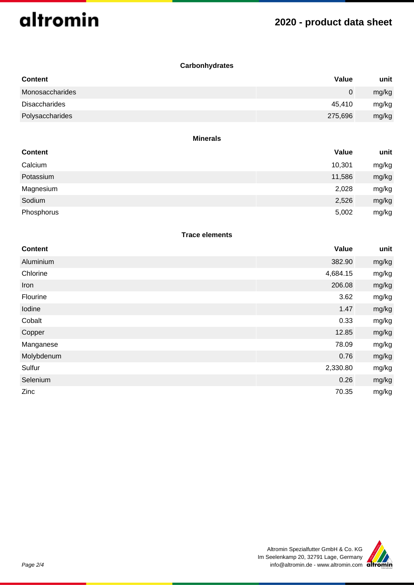## **2020 - product data sheet**

## **Carbonhydrates**

| <b>Content</b>  | Value   | unit  |
|-----------------|---------|-------|
| Monosaccharides | 0       | mg/kg |
| Disaccharides   | 45.410  | mg/kg |
| Polysaccharides | 275,696 | mg/kg |

#### **Minerals**

| <b>Content</b> | Value  | unit  |
|----------------|--------|-------|
| Calcium        | 10,301 | mg/kg |
| Potassium      | 11,586 | mg/kg |
| Magnesium      | 2,028  | mg/kg |
| Sodium         | 2,526  | mg/kg |
| Phosphorus     | 5,002  | mg/kg |

### **Trace elements**

| <b>Content</b> | Value    | unit  |
|----------------|----------|-------|
| Aluminium      | 382.90   | mg/kg |
| Chlorine       | 4,684.15 | mg/kg |
| Iron           | 206.08   | mg/kg |
| Flourine       | 3.62     | mg/kg |
| Iodine         | 1.47     | mg/kg |
| Cobalt         | 0.33     | mg/kg |
| Copper         | 12.85    | mg/kg |
| Manganese      | 78.09    | mg/kg |
| Molybdenum     | 0.76     | mg/kg |
| Sulfur         | 2,330.80 | mg/kg |
| Selenium       | 0.26     | mg/kg |
| Zinc           | 70.35    | mg/kg |

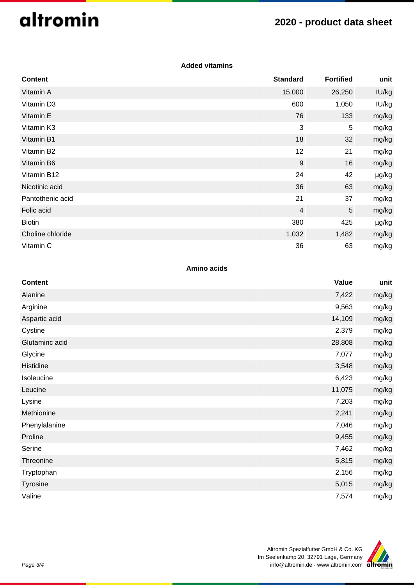## **2020 - product data sheet**

## **Added vitamins**

| <b>Content</b>   | <b>Standard</b>  | <b>Fortified</b> | unit  |
|------------------|------------------|------------------|-------|
| Vitamin A        | 15,000           | 26,250           | IU/kg |
| Vitamin D3       | 600              | 1,050            | IU/kg |
| Vitamin E        | 76               | 133              | mg/kg |
| Vitamin K3       | 3                | $\overline{5}$   | mg/kg |
| Vitamin B1       | 18               | 32               | mg/kg |
| Vitamin B2       | 12               | 21               | mg/kg |
| Vitamin B6       | $\boldsymbol{9}$ | 16               | mg/kg |
| Vitamin B12      | 24               | 42               | µg/kg |
| Nicotinic acid   | 36               | 63               | mg/kg |
| Pantothenic acid | 21               | 37               | mg/kg |
| Folic acid       | $\overline{4}$   | $\sqrt{5}$       | mg/kg |
| <b>Biotin</b>    | 380              | 425              | µg/kg |
| Choline chloride | 1,032            | 1,482            | mg/kg |
| Vitamin C        | 36               | 63               | mg/kg |

### **Amino acids**

| <b>Content</b> | <b>Value</b> | unit  |
|----------------|--------------|-------|
| Alanine        | 7,422        | mg/kg |
| Arginine       | 9,563        | mg/kg |
| Aspartic acid  | 14,109       | mg/kg |
| Cystine        | 2,379        | mg/kg |
| Glutaminc acid | 28,808       | mg/kg |
| Glycine        | 7,077        | mg/kg |
| Histidine      | 3,548        | mg/kg |
| Isoleucine     | 6,423        | mg/kg |
| Leucine        | 11,075       | mg/kg |
| Lysine         | 7,203        | mg/kg |
| Methionine     | 2,241        | mg/kg |
| Phenylalanine  | 7,046        | mg/kg |
| Proline        | 9,455        | mg/kg |
| Serine         | 7,462        | mg/kg |
| Threonine      | 5,815        | mg/kg |
| Tryptophan     | 2,156        | mg/kg |
| Tyrosine       | 5,015        | mg/kg |
| Valine         | 7,574        | mg/kg |